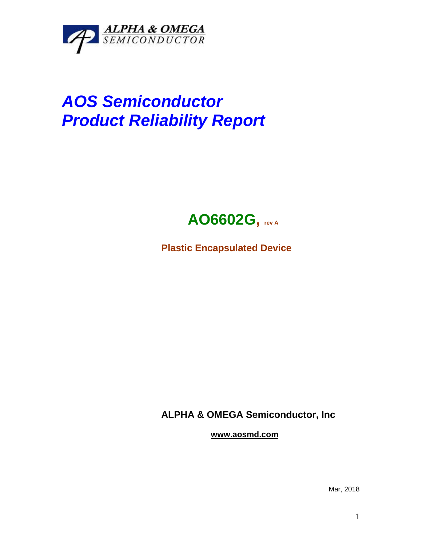

## *AOS Semiconductor Product Reliability Report*



**Plastic Encapsulated Device**

**ALPHA & OMEGA Semiconductor, Inc**

**www.aosmd.com**

Mar, 2018